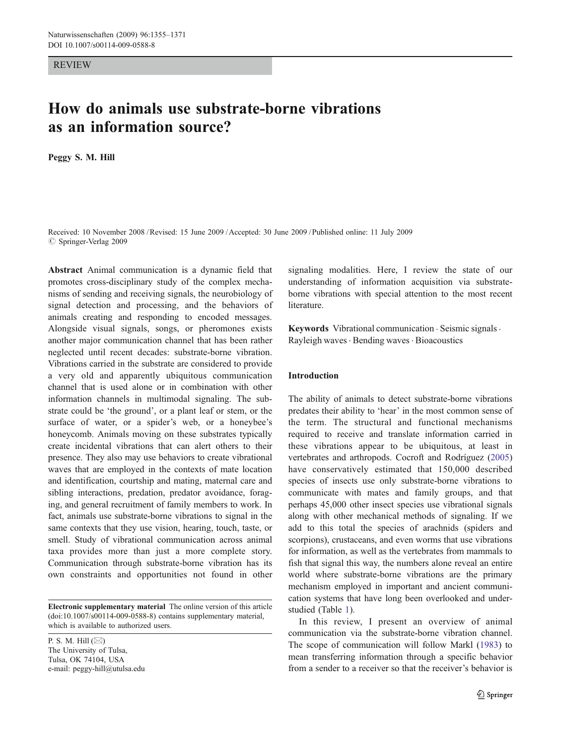REVIEW

# How do animals use substrate-borne vibrations as an information source?

Peggy S. M. Hill

Received: 10 November 2008 /Revised: 15 June 2009 /Accepted: 30 June 2009 / Published online: 11 July 2009  $\oslash$  Springer-Verlag 2009

Abstract Animal communication is a dynamic field that promotes cross-disciplinary study of the complex mechanisms of sending and receiving signals, the neurobiology of signal detection and processing, and the behaviors of animals creating and responding to encoded messages. Alongside visual signals, songs, or pheromones exists another major communication channel that has been rather neglected until recent decades: substrate-borne vibration. Vibrations carried in the substrate are considered to provide a very old and apparently ubiquitous communication channel that is used alone or in combination with other information channels in multimodal signaling. The substrate could be 'the ground', or a plant leaf or stem, or the surface of water, or a spider's web, or a honeybee's honeycomb. Animals moving on these substrates typically create incidental vibrations that can alert others to their presence. They also may use behaviors to create vibrational waves that are employed in the contexts of mate location and identification, courtship and mating, maternal care and sibling interactions, predation, predator avoidance, foraging, and general recruitment of family members to work. In fact, animals use substrate-borne vibrations to signal in the same contexts that they use vision, hearing, touch, taste, or smell. Study of vibrational communication across animal taxa provides more than just a more complete story. Communication through substrate-borne vibration has its own constraints and opportunities not found in other

Electronic supplementary material The online version of this article (doi:[10.1007/s00114-009-0588-8\)](http://dx.doi.org/10.1007/s00114-009-0588-8) contains supplementary material, which is available to authorized users.

P. S. M. Hill (⊠) The University of Tulsa, Tulsa, OK 74104, USA e-mail: peggy-hill@utulsa.edu

signaling modalities. Here, I review the state of our understanding of information acquisition via substrateborne vibrations with special attention to the most recent literature.

Keywords Vibrational communication · Seismic signals · Rayleigh waves. Bending waves. Bioacoustics

# Introduction

The ability of animals to detect substrate-borne vibrations predates their ability to 'hear' in the most common sense of the term. The structural and functional mechanisms required to receive and translate information carried in these vibrations appear to be ubiquitous, at least in vertebrates and arthropods. Cocroft and Rodríguez [\(2005](#page-14-0)) have conservatively estimated that 150,000 described species of insects use only substrate-borne vibrations to communicate with mates and family groups, and that perhaps 45,000 other insect species use vibrational signals along with other mechanical methods of signaling. If we add to this total the species of arachnids (spiders and scorpions), crustaceans, and even worms that use vibrations for information, as well as the vertebrates from mammals to fish that signal this way, the numbers alone reveal an entire world where substrate-borne vibrations are the primary mechanism employed in important and ancient communication systems that have long been overlooked and understudied (Table [1](#page-1-0)).

In this review, I present an overview of animal communication via the substrate-borne vibration channel. The scope of communication will follow Markl [\(1983](#page-15-0)) to mean transferring information through a specific behavior from a sender to a receiver so that the receiver's behavior is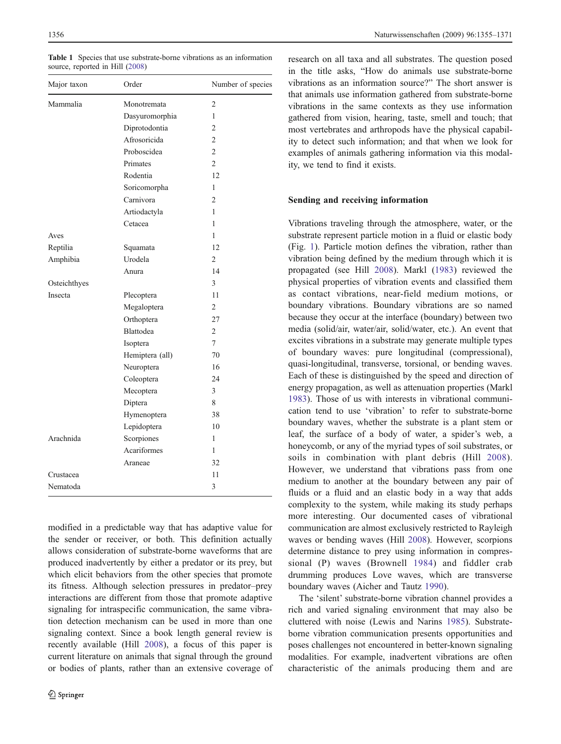| Major taxon  | Order            | Number of species |
|--------------|------------------|-------------------|
| Mammalia     | Monotremata      | $\overline{c}$    |
|              | Dasyuromorphia   | 1                 |
|              | Diprotodontia    | $\overline{c}$    |
|              | Afrosoricida     | $\overline{2}$    |
|              | Proboscidea      | $\overline{c}$    |
|              | Primates         | $\overline{2}$    |
|              | Rodentia         | 12                |
|              | Soricomorpha     | 1                 |
|              | Carnivora        | $\overline{2}$    |
|              | Artiodactyla     | 1                 |
|              | Cetacea          | 1                 |
| Aves         |                  | 1                 |
| Reptilia     | Squamata         | 12                |
| Amphibia     | Urodela          | $\overline{c}$    |
|              | Anura            | 14                |
| Osteichthyes |                  | 3                 |
| Insecta      | Plecoptera       | 11                |
|              | Megaloptera      | $\overline{c}$    |
|              | Orthoptera       | 27                |
|              | <b>Blattodea</b> | $\overline{2}$    |
|              | Isoptera         | 7                 |
|              | Hemiptera (all)  | 70                |
|              | Neuroptera       | 16                |
|              | Coleoptera       | 24                |
|              | Mecoptera        | 3                 |
|              | Diptera          | 8                 |
|              | Hymenoptera      | 38                |
|              | Lepidoptera      | 10                |
| Arachnida    | Scorpiones       | 1                 |
|              | Acariformes      | 1                 |
|              | Araneae          | 32                |
| Crustacea    |                  | 11                |
| Nematoda     |                  | 3                 |

<span id="page-1-0"></span>Table 1 Species that use substrate-borne vibrations as an information source, reported in Hill [\(2008](#page-15-0))

modified in a predictable way that has adaptive value for the sender or receiver, or both. This definition actually allows consideration of substrate-borne waveforms that are produced inadvertently by either a predator or its prey, but which elicit behaviors from the other species that promote its fitness. Although selection pressures in predator–prey interactions are different from those that promote adaptive signaling for intraspecific communication, the same vibration detection mechanism can be used in more than one signaling context. Since a book length general review is recently available (Hill [2008](#page-15-0)), a focus of this paper is current literature on animals that signal through the ground or bodies of plants, rather than an extensive coverage of

research on all taxa and all substrates. The question posed in the title asks, "How do animals use substrate-borne vibrations as an information source?" The short answer is that animals use information gathered from substrate-borne vibrations in the same contexts as they use information gathered from vision, hearing, taste, smell and touch; that most vertebrates and arthropods have the physical capability to detect such information; and that when we look for examples of animals gathering information via this modality, we tend to find it exists.

## Sending and receiving information

Vibrations traveling through the atmosphere, water, or the substrate represent particle motion in a fluid or elastic body (Fig. [1](#page-2-0)). Particle motion defines the vibration, rather than vibration being defined by the medium through which it is propagated (see Hill [2008\)](#page-15-0). Markl ([1983\)](#page-15-0) reviewed the physical properties of vibration events and classified them as contact vibrations, near-field medium motions, or boundary vibrations. Boundary vibrations are so named because they occur at the interface (boundary) between two media (solid/air, water/air, solid/water, etc.). An event that excites vibrations in a substrate may generate multiple types of boundary waves: pure longitudinal (compressional), quasi-longitudinal, transverse, torsional, or bending waves. Each of these is distinguished by the speed and direction of energy propagation, as well as attenuation properties (Markl [1983](#page-15-0)). Those of us with interests in vibrational communication tend to use 'vibration' to refer to substrate-borne boundary waves, whether the substrate is a plant stem or leaf, the surface of a body of water, a spider's web, a honeycomb, or any of the myriad types of soil substrates, or soils in combination with plant debris (Hill [2008](#page-15-0)). However, we understand that vibrations pass from one medium to another at the boundary between any pair of fluids or a fluid and an elastic body in a way that adds complexity to the system, while making its study perhaps more interesting. Our documented cases of vibrational communication are almost exclusively restricted to Rayleigh waves or bending waves (Hill [2008](#page-15-0)). However, scorpions determine distance to prey using information in compressional (P) waves (Brownell [1984](#page-13-0)) and fiddler crab drumming produces Love waves, which are transverse boundary waves (Aicher and Tautz [1990](#page-13-0)).

The 'silent' substrate-borne vibration channel provides a rich and varied signaling environment that may also be cluttered with noise (Lewis and Narins [1985](#page-15-0)). Substrateborne vibration communication presents opportunities and poses challenges not encountered in better-known signaling modalities. For example, inadvertent vibrations are often characteristic of the animals producing them and are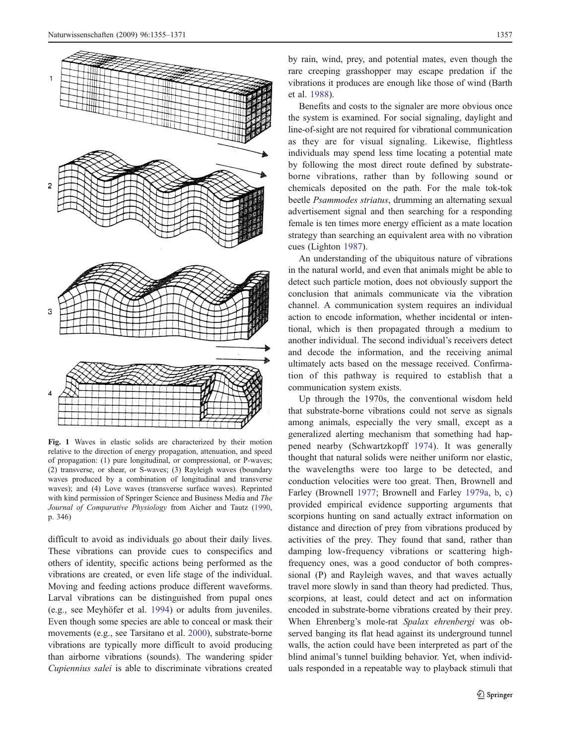<span id="page-2-0"></span>

Fig. 1 Waves in elastic solids are characterized by their motion relative to the direction of energy propagation, attenuation, and speed of propagation: (1) pure longitudinal, or compressional, or P-waves; (2) transverse, or shear, or S-waves; (3) Rayleigh waves (boundary waves produced by a combination of longitudinal and transverse waves); and (4) Love waves (transverse surface waves). Reprinted with kind permission of Springer Science and Business Media and The Journal of Comparative Physiology from Aicher and Tautz [\(1990](#page-13-0), p. 346)

difficult to avoid as individuals go about their daily lives. These vibrations can provide cues to conspecifics and others of identity, specific actions being performed as the vibrations are created, or even life stage of the individual. Moving and feeding actions produce different waveforms. Larval vibrations can be distinguished from pupal ones (e.g., see Meyhöfer et al. [1994](#page-15-0)) or adults from juveniles. Even though some species are able to conceal or mask their movements (e.g., see Tarsitano et al. [2000\)](#page-16-0), substrate-borne vibrations are typically more difficult to avoid producing than airborne vibrations (sounds). The wandering spider Cupiennius salei is able to discriminate vibrations created by rain, wind, prey, and potential mates, even though the rare creeping grasshopper may escape predation if the vibrations it produces are enough like those of wind (Barth et al. [1988](#page-13-0)).

Benefits and costs to the signaler are more obvious once the system is examined. For social signaling, daylight and line-of-sight are not required for vibrational communication as they are for visual signaling. Likewise, flightless individuals may spend less time locating a potential mate by following the most direct route defined by substrateborne vibrations, rather than by following sound or chemicals deposited on the path. For the male tok-tok beetle Psammodes striatus, drumming an alternating sexual advertisement signal and then searching for a responding female is ten times more energy efficient as a mate location strategy than searching an equivalent area with no vibration cues (Lighton [1987\)](#page-15-0).

An understanding of the ubiquitous nature of vibrations in the natural world, and even that animals might be able to detect such particle motion, does not obviously support the conclusion that animals communicate via the vibration channel. A communication system requires an individual action to encode information, whether incidental or intentional, which is then propagated through a medium to another individual. The second individual's receivers detect and decode the information, and the receiving animal ultimately acts based on the message received. Confirmation of this pathway is required to establish that a communication system exists.

Up through the 1970s, the conventional wisdom held that substrate-borne vibrations could not serve as signals among animals, especially the very small, except as a generalized alerting mechanism that something had happened nearby (Schwartzkopff [1974\)](#page-16-0). It was generally thought that natural solids were neither uniform nor elastic, the wavelengths were too large to be detected, and conduction velocities were too great. Then, Brownell and Farley (Brownell [1977](#page-13-0); Brownell and Farley [1979a,](#page-13-0) [b](#page-14-0), [c](#page-14-0)) provided empirical evidence supporting arguments that scorpions hunting on sand actually extract information on distance and direction of prey from vibrations produced by activities of the prey. They found that sand, rather than damping low-frequency vibrations or scattering highfrequency ones, was a good conductor of both compressional (P) and Rayleigh waves, and that waves actually travel more slowly in sand than theory had predicted. Thus, scorpions, at least, could detect and act on information encoded in substrate-borne vibrations created by their prey. When Ehrenberg's mole-rat Spalax ehrenbergi was observed banging its flat head against its underground tunnel walls, the action could have been interpreted as part of the blind animal's tunnel building behavior. Yet, when individuals responded in a repeatable way to playback stimuli that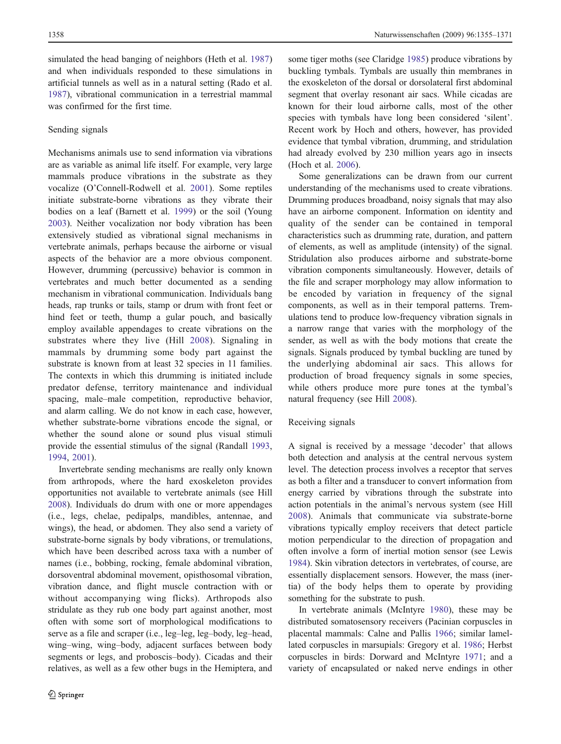simulated the head banging of neighbors (Heth et al. [1987\)](#page-15-0) and when individuals responded to these simulations in artificial tunnels as well as in a natural setting (Rado et al. [1987\)](#page-16-0), vibrational communication in a terrestrial mammal was confirmed for the first time.

# Sending signals

Mechanisms animals use to send information via vibrations are as variable as animal life itself. For example, very large mammals produce vibrations in the substrate as they vocalize (O'Connell-Rodwell et al. [2001](#page-15-0)). Some reptiles initiate substrate-borne vibrations as they vibrate their bodies on a leaf (Barnett et al. [1999\)](#page-13-0) or the soil (Young [2003\)](#page-16-0). Neither vocalization nor body vibration has been extensively studied as vibrational signal mechanisms in vertebrate animals, perhaps because the airborne or visual aspects of the behavior are a more obvious component. However, drumming (percussive) behavior is common in vertebrates and much better documented as a sending mechanism in vibrational communication. Individuals bang heads, rap trunks or tails, stamp or drum with front feet or hind feet or teeth, thump a gular pouch, and basically employ available appendages to create vibrations on the substrates where they live (Hill [2008\)](#page-15-0). Signaling in mammals by drumming some body part against the substrate is known from at least 32 species in 11 families. The contexts in which this drumming is initiated include predator defense, territory maintenance and individual spacing, male–male competition, reproductive behavior, and alarm calling. We do not know in each case, however, whether substrate-borne vibrations encode the signal, or whether the sound alone or sound plus visual stimuli provide the essential stimulus of the signal (Randall [1993,](#page-16-0) [1994,](#page-16-0) [2001\)](#page-16-0).

Invertebrate sending mechanisms are really only known from arthropods, where the hard exoskeleton provides opportunities not available to vertebrate animals (see Hill [2008\)](#page-15-0). Individuals do drum with one or more appendages (i.e., legs, chelae, pedipalps, mandibles, antennae, and wings), the head, or abdomen. They also send a variety of substrate-borne signals by body vibrations, or tremulations, which have been described across taxa with a number of names (i.e., bobbing, rocking, female abdominal vibration, dorsoventral abdominal movement, opisthosomal vibration, vibration dance, and flight muscle contraction with or without accompanying wing flicks). Arthropods also stridulate as they rub one body part against another, most often with some sort of morphological modifications to serve as a file and scraper (i.e., leg–leg, leg–body, leg–head, wing–wing, wing–body, adjacent surfaces between body segments or legs, and proboscis–body). Cicadas and their relatives, as well as a few other bugs in the Hemiptera, and

some tiger moths (see Claridge [1985\)](#page-14-0) produce vibrations by buckling tymbals. Tymbals are usually thin membranes in the exoskeleton of the dorsal or dorsolateral first abdominal segment that overlay resonant air sacs. While cicadas are known for their loud airborne calls, most of the other species with tymbals have long been considered 'silent'. Recent work by Hoch and others, however, has provided evidence that tymbal vibration, drumming, and stridulation had already evolved by 230 million years ago in insects (Hoch et al. [2006](#page-15-0)).

Some generalizations can be drawn from our current understanding of the mechanisms used to create vibrations. Drumming produces broadband, noisy signals that may also have an airborne component. Information on identity and quality of the sender can be contained in temporal characteristics such as drumming rate, duration, and pattern of elements, as well as amplitude (intensity) of the signal. Stridulation also produces airborne and substrate-borne vibration components simultaneously. However, details of the file and scraper morphology may allow information to be encoded by variation in frequency of the signal components, as well as in their temporal patterns. Tremulations tend to produce low-frequency vibration signals in a narrow range that varies with the morphology of the sender, as well as with the body motions that create the signals. Signals produced by tymbal buckling are tuned by the underlying abdominal air sacs. This allows for production of broad frequency signals in some species, while others produce more pure tones at the tymbal's natural frequency (see Hill [2008](#page-15-0)).

# Receiving signals

A signal is received by a message 'decoder' that allows both detection and analysis at the central nervous system level. The detection process involves a receptor that serves as both a filter and a transducer to convert information from energy carried by vibrations through the substrate into action potentials in the animal's nervous system (see Hill [2008\)](#page-15-0). Animals that communicate via substrate-borne vibrations typically employ receivers that detect particle motion perpendicular to the direction of propagation and often involve a form of inertial motion sensor (see Lewis [1984](#page-15-0)). Skin vibration detectors in vertebrates, of course, are essentially displacement sensors. However, the mass (inertia) of the body helps them to operate by providing something for the substrate to push.

In vertebrate animals (McIntyre [1980](#page-15-0)), these may be distributed somatosensory receivers (Pacinian corpuscles in placental mammals: Calne and Pallis [1966](#page-14-0); similar lamellated corpuscles in marsupials: Gregory et al. [1986](#page-14-0); Herbst corpuscles in birds: Dorward and McIntyre [1971](#page-14-0); and a variety of encapsulated or naked nerve endings in other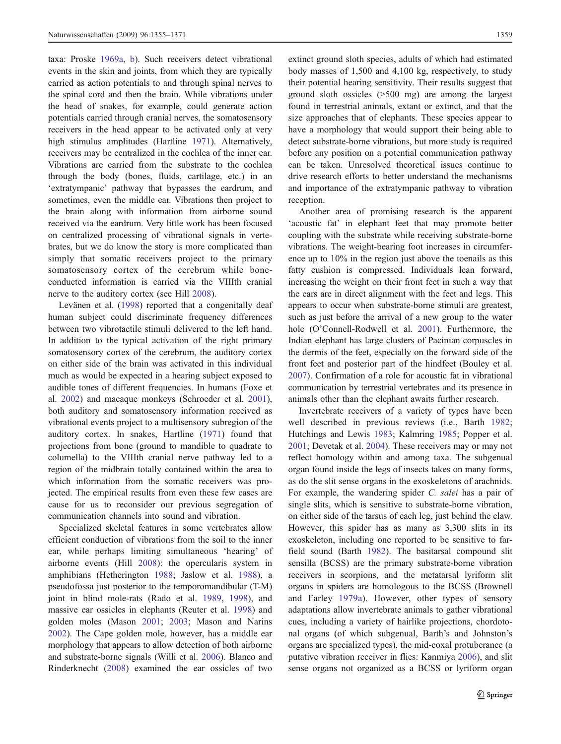taxa: Proske [1969a,](#page-16-0) [b](#page-16-0)). Such receivers detect vibrational events in the skin and joints, from which they are typically carried as action potentials to and through spinal nerves to the spinal cord and then the brain. While vibrations under the head of snakes, for example, could generate action potentials carried through cranial nerves, the somatosensory receivers in the head appear to be activated only at very high stimulus amplitudes (Hartline [1971\)](#page-14-0). Alternatively, receivers may be centralized in the cochlea of the inner ear. Vibrations are carried from the substrate to the cochlea through the body (bones, fluids, cartilage, etc.) in an 'extratympanic' pathway that bypasses the eardrum, and sometimes, even the middle ear. Vibrations then project to the brain along with information from airborne sound received via the eardrum. Very little work has been focused on centralized processing of vibrational signals in vertebrates, but we do know the story is more complicated than simply that somatic receivers project to the primary somatosensory cortex of the cerebrum while boneconducted information is carried via the VIIIth cranial nerve to the auditory cortex (see Hill [2008](#page-15-0)).

Levänen et al. [\(1998](#page-15-0)) reported that a congenitally deaf human subject could discriminate frequency differences between two vibrotactile stimuli delivered to the left hand. In addition to the typical activation of the right primary somatosensory cortex of the cerebrum, the auditory cortex on either side of the brain was activated in this individual much as would be expected in a hearing subject exposed to audible tones of different frequencies. In humans (Foxe et al. [2002\)](#page-14-0) and macaque monkeys (Schroeder et al. [2001](#page-16-0)), both auditory and somatosensory information received as vibrational events project to a multisensory subregion of the auditory cortex. In snakes, Hartline [\(1971](#page-14-0)) found that projections from bone (ground to mandible to quadrate to columella) to the VIIIth cranial nerve pathway led to a region of the midbrain totally contained within the area to which information from the somatic receivers was projected. The empirical results from even these few cases are cause for us to reconsider our previous segregation of communication channels into sound and vibration.

Specialized skeletal features in some vertebrates allow efficient conduction of vibrations from the soil to the inner ear, while perhaps limiting simultaneous 'hearing' of airborne events (Hill [2008\)](#page-15-0): the opercularis system in amphibians (Hetherington [1988;](#page-15-0) Jaslow et al. [1988](#page-15-0)), a pseudofossa just posterior to the temporomandibular (T-M) joint in blind mole-rats (Rado et al. [1989](#page-16-0), [1998](#page-16-0)), and massive ear ossicles in elephants (Reuter et al. [1998\)](#page-16-0) and golden moles (Mason [2001;](#page-15-0) [2003;](#page-15-0) Mason and Narins [2002\)](#page-15-0). The Cape golden mole, however, has a middle ear morphology that appears to allow detection of both airborne and substrate-borne signals (Willi et al. [2006](#page-16-0)). Blanco and Rinderknecht ([2008\)](#page-13-0) examined the ear ossicles of two

extinct ground sloth species, adults of which had estimated body masses of 1,500 and 4,100 kg, respectively, to study their potential hearing sensitivity. Their results suggest that ground sloth ossicles (>500 mg) are among the largest found in terrestrial animals, extant or extinct, and that the size approaches that of elephants. These species appear to have a morphology that would support their being able to detect substrate-borne vibrations, but more study is required before any position on a potential communication pathway can be taken. Unresolved theoretical issues continue to drive research efforts to better understand the mechanisms and importance of the extratympanic pathway to vibration reception.

Another area of promising research is the apparent 'acoustic fat' in elephant feet that may promote better coupling with the substrate while receiving substrate-borne vibrations. The weight-bearing foot increases in circumference up to 10% in the region just above the toenails as this fatty cushion is compressed. Individuals lean forward, increasing the weight on their front feet in such a way that the ears are in direct alignment with the feet and legs. This appears to occur when substrate-borne stimuli are greatest, such as just before the arrival of a new group to the water hole (O'Connell-Rodwell et al. [2001\)](#page-15-0). Furthermore, the Indian elephant has large clusters of Pacinian corpuscles in the dermis of the feet, especially on the forward side of the front feet and posterior part of the hindfeet (Bouley et al. [2007](#page-13-0)). Confirmation of a role for acoustic fat in vibrational communication by terrestrial vertebrates and its presence in animals other than the elephant awaits further research.

Invertebrate receivers of a variety of types have been well described in previous reviews (i.e., Barth [1982;](#page-13-0) Hutchings and Lewis [1983;](#page-15-0) Kalmring [1985](#page-15-0); Popper et al. [2001](#page-16-0); Devetak et al. [2004\)](#page-14-0). These receivers may or may not reflect homology within and among taxa. The subgenual organ found inside the legs of insects takes on many forms, as do the slit sense organs in the exoskeletons of arachnids. For example, the wandering spider C. salei has a pair of single slits, which is sensitive to substrate-borne vibration, on either side of the tarsus of each leg, just behind the claw. However, this spider has as many as 3,300 slits in its exoskeleton, including one reported to be sensitive to farfield sound (Barth [1982\)](#page-13-0). The basitarsal compound slit sensilla (BCSS) are the primary substrate-borne vibration receivers in scorpions, and the metatarsal lyriform slit organs in spiders are homologous to the BCSS (Brownell and Farley [1979a\)](#page-13-0). However, other types of sensory adaptations allow invertebrate animals to gather vibrational cues, including a variety of hairlike projections, chordotonal organs (of which subgenual, Barth's and Johnston's organs are specialized types), the mid-coxal protuberance (a putative vibration receiver in flies: Kanmiya [2006](#page-15-0)), and slit sense organs not organized as a BCSS or lyriform organ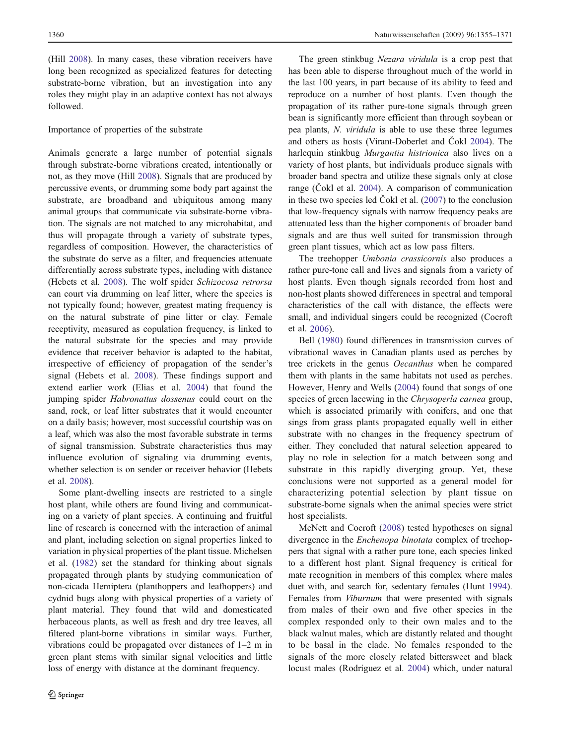(Hill [2008](#page-15-0)). In many cases, these vibration receivers have long been recognized as specialized features for detecting substrate-borne vibration, but an investigation into any roles they might play in an adaptive context has not always followed.

# Importance of properties of the substrate

Animals generate a large number of potential signals through substrate-borne vibrations created, intentionally or not, as they move (Hill [2008](#page-15-0)). Signals that are produced by percussive events, or drumming some body part against the substrate, are broadband and ubiquitous among many animal groups that communicate via substrate-borne vibration. The signals are not matched to any microhabitat, and thus will propagate through a variety of substrate types, regardless of composition. However, the characteristics of the substrate do serve as a filter, and frequencies attenuate differentially across substrate types, including with distance (Hebets et al. [2008](#page-14-0)). The wolf spider Schizocosa retrorsa can court via drumming on leaf litter, where the species is not typically found; however, greatest mating frequency is on the natural substrate of pine litter or clay. Female receptivity, measured as copulation frequency, is linked to the natural substrate for the species and may provide evidence that receiver behavior is adapted to the habitat, irrespective of efficiency of propagation of the sender's signal (Hebets et al. [2008\)](#page-14-0). These findings support and extend earlier work (Elias et al. [2004\)](#page-14-0) that found the jumping spider Habronattus dossenus could court on the sand, rock, or leaf litter substrates that it would encounter on a daily basis; however, most successful courtship was on a leaf, which was also the most favorable substrate in terms of signal transmission. Substrate characteristics thus may influence evolution of signaling via drumming events, whether selection is on sender or receiver behavior (Hebets et al. [2008](#page-14-0)).

Some plant-dwelling insects are restricted to a single host plant, while others are found living and communicating on a variety of plant species. A continuing and fruitful line of research is concerned with the interaction of animal and plant, including selection on signal properties linked to variation in physical properties of the plant tissue. Michelsen et al. ([1982\)](#page-15-0) set the standard for thinking about signals propagated through plants by studying communication of non-cicada Hemiptera (planthoppers and leafhoppers) and cydnid bugs along with physical properties of a variety of plant material. They found that wild and domesticated herbaceous plants, as well as fresh and dry tree leaves, all filtered plant-borne vibrations in similar ways. Further, vibrations could be propagated over distances of 1–2 m in green plant stems with similar signal velocities and little loss of energy with distance at the dominant frequency.

The green stinkbug *Nezara viridula* is a crop pest that has been able to disperse throughout much of the world in the last 100 years, in part because of its ability to feed and reproduce on a number of host plants. Even though the propagation of its rather pure-tone signals through green bean is significantly more efficient than through soybean or pea plants, N. viridula is able to use these three legumes and others as hosts (Virant-Doberlet and Čokl [2004](#page-16-0)). The harlequin stinkbug Murgantia histrionica also lives on a variety of host plants, but individuals produce signals with broader band spectra and utilize these signals only at close range (Čokl et al. [2004](#page-14-0)). A comparison of communication in these two species led Čokl et al. [\(2007](#page-14-0)) to the conclusion that low-frequency signals with narrow frequency peaks are attenuated less than the higher components of broader band signals and are thus well suited for transmission through green plant tissues, which act as low pass filters.

The treehopper Umbonia crassicornis also produces a rather pure-tone call and lives and signals from a variety of host plants. Even though signals recorded from host and non-host plants showed differences in spectral and temporal characteristics of the call with distance, the effects were small, and individual singers could be recognized (Cocroft et al. [2006](#page-14-0)).

Bell ([1980\)](#page-13-0) found differences in transmission curves of vibrational waves in Canadian plants used as perches by tree crickets in the genus Oecanthus when he compared them with plants in the same habitats not used as perches. However, Henry and Wells ([2004\)](#page-14-0) found that songs of one species of green lacewing in the *Chrysoperla carnea* group, which is associated primarily with conifers, and one that sings from grass plants propagated equally well in either substrate with no changes in the frequency spectrum of either. They concluded that natural selection appeared to play no role in selection for a match between song and substrate in this rapidly diverging group. Yet, these conclusions were not supported as a general model for characterizing potential selection by plant tissue on substrate-borne signals when the animal species were strict host specialists.

McNett and Cocroft [\(2008](#page-15-0)) tested hypotheses on signal divergence in the *Enchenopa binotata* complex of treehoppers that signal with a rather pure tone, each species linked to a different host plant. Signal frequency is critical for mate recognition in members of this complex where males duet with, and search for, sedentary females (Hunt [1994\)](#page-15-0). Females from *Viburnum* that were presented with signals from males of their own and five other species in the complex responded only to their own males and to the black walnut males, which are distantly related and thought to be basal in the clade. No females responded to the signals of the more closely related bittersweet and black locust males (Rodríguez et al. [2004\)](#page-16-0) which, under natural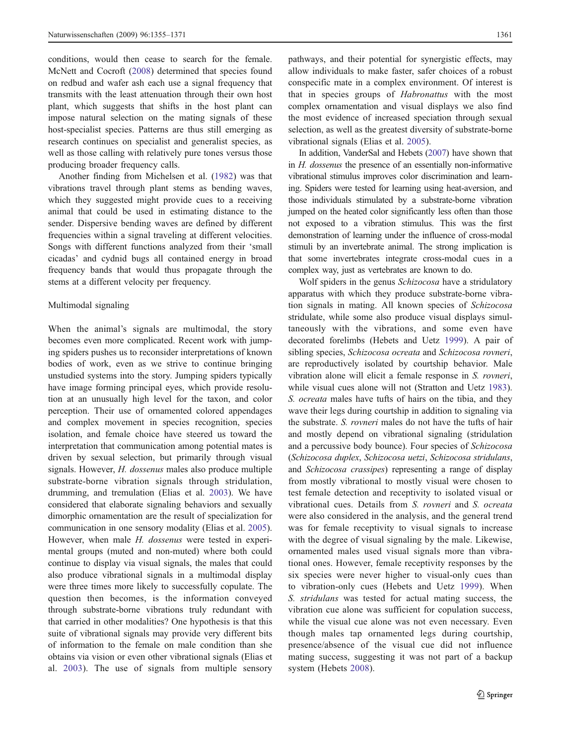conditions, would then cease to search for the female. McNett and Cocroft [\(2008](#page-15-0)) determined that species found on redbud and wafer ash each use a signal frequency that transmits with the least attenuation through their own host plant, which suggests that shifts in the host plant can impose natural selection on the mating signals of these host-specialist species. Patterns are thus still emerging as research continues on specialist and generalist species, as well as those calling with relatively pure tones versus those producing broader frequency calls.

Another finding from Michelsen et al. ([1982\)](#page-15-0) was that vibrations travel through plant stems as bending waves, which they suggested might provide cues to a receiving animal that could be used in estimating distance to the sender. Dispersive bending waves are defined by different frequencies within a signal traveling at different velocities. Songs with different functions analyzed from their 'small cicadas' and cydnid bugs all contained energy in broad frequency bands that would thus propagate through the stems at a different velocity per frequency.

# Multimodal signaling

When the animal's signals are multimodal, the story becomes even more complicated. Recent work with jumping spiders pushes us to reconsider interpretations of known bodies of work, even as we strive to continue bringing unstudied systems into the story. Jumping spiders typically have image forming principal eyes, which provide resolution at an unusually high level for the taxon, and color perception. Their use of ornamented colored appendages and complex movement in species recognition, species isolation, and female choice have steered us toward the interpretation that communication among potential mates is driven by sexual selection, but primarily through visual signals. However, *H. dossenus* males also produce multiple substrate-borne vibration signals through stridulation, drumming, and tremulation (Elias et al. [2003](#page-14-0)). We have considered that elaborate signaling behaviors and sexually dimorphic ornamentation are the result of specialization for communication in one sensory modality (Elias et al. [2005](#page-14-0)). However, when male *H. dossenus* were tested in experimental groups (muted and non-muted) where both could continue to display via visual signals, the males that could also produce vibrational signals in a multimodal display were three times more likely to successfully copulate. The question then becomes, is the information conveyed through substrate-borne vibrations truly redundant with that carried in other modalities? One hypothesis is that this suite of vibrational signals may provide very different bits of information to the female on male condition than she obtains via vision or even other vibrational signals (Elias et al. [2003\)](#page-14-0). The use of signals from multiple sensory pathways, and their potential for synergistic effects, may allow individuals to make faster, safer choices of a robust conspecific mate in a complex environment. Of interest is that in species groups of Habronattus with the most complex ornamentation and visual displays we also find the most evidence of increased speciation through sexual selection, as well as the greatest diversity of substrate-borne vibrational signals (Elias et al. [2005](#page-14-0)).

In addition, VanderSal and Hebets ([2007\)](#page-16-0) have shown that in H. dossenus the presence of an essentially non-informative vibrational stimulus improves color discrimination and learning. Spiders were tested for learning using heat-aversion, and those individuals stimulated by a substrate-borne vibration jumped on the heated color significantly less often than those not exposed to a vibration stimulus. This was the first demonstration of learning under the influence of cross-modal stimuli by an invertebrate animal. The strong implication is that some invertebrates integrate cross-modal cues in a complex way, just as vertebrates are known to do.

Wolf spiders in the genus Schizocosa have a stridulatory apparatus with which they produce substrate-borne vibration signals in mating. All known species of Schizocosa stridulate, while some also produce visual displays simultaneously with the vibrations, and some even have decorated forelimbs (Hebets and Uetz [1999](#page-14-0)). A pair of sibling species, Schizocosa ocreata and Schizocosa rovneri, are reproductively isolated by courtship behavior. Male vibration alone will elicit a female response in S. rovneri, while visual cues alone will not (Stratton and Uetz [1983\)](#page-16-0). S. *ocreata* males have tufts of hairs on the tibia, and they wave their legs during courtship in addition to signaling via the substrate. S. rovneri males do not have the tufts of hair and mostly depend on vibrational signaling (stridulation and a percussive body bounce). Four species of Schizocosa (Schizocosa duplex, Schizocosa uetzi, Schizocosa stridulans, and Schizocosa crassipes) representing a range of display from mostly vibrational to mostly visual were chosen to test female detection and receptivity to isolated visual or vibrational cues. Details from S. rovneri and S. ocreata were also considered in the analysis, and the general trend was for female receptivity to visual signals to increase with the degree of visual signaling by the male. Likewise, ornamented males used visual signals more than vibrational ones. However, female receptivity responses by the six species were never higher to visual-only cues than to vibration-only cues (Hebets and Uetz [1999\)](#page-14-0). When S. stridulans was tested for actual mating success, the vibration cue alone was sufficient for copulation success, while the visual cue alone was not even necessary. Even though males tap ornamented legs during courtship, presence/absence of the visual cue did not influence mating success, suggesting it was not part of a backup system (Hebets [2008](#page-14-0)).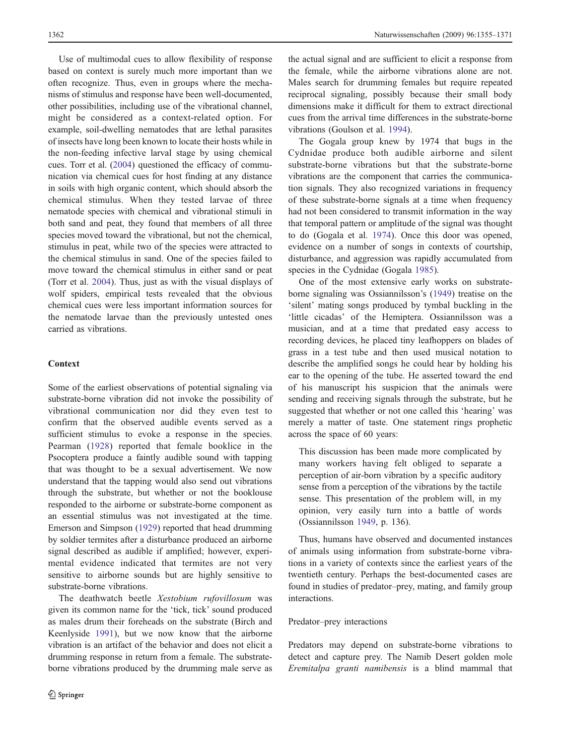Use of multimodal cues to allow flexibility of response based on context is surely much more important than we often recognize. Thus, even in groups where the mechanisms of stimulus and response have been well-documented, other possibilities, including use of the vibrational channel, might be considered as a context-related option. For example, soil-dwelling nematodes that are lethal parasites of insects have long been known to locate their hosts while in the non-feeding infective larval stage by using chemical cues. Torr et al. ([2004\)](#page-16-0) questioned the efficacy of communication via chemical cues for host finding at any distance in soils with high organic content, which should absorb the chemical stimulus. When they tested larvae of three nematode species with chemical and vibrational stimuli in both sand and peat, they found that members of all three species moved toward the vibrational, but not the chemical, stimulus in peat, while two of the species were attracted to the chemical stimulus in sand. One of the species failed to move toward the chemical stimulus in either sand or peat (Torr et al. [2004\)](#page-16-0). Thus, just as with the visual displays of wolf spiders, empirical tests revealed that the obvious chemical cues were less important information sources for the nematode larvae than the previously untested ones carried as vibrations.

# Context

Some of the earliest observations of potential signaling via substrate-borne vibration did not invoke the possibility of vibrational communication nor did they even test to confirm that the observed audible events served as a sufficient stimulus to evoke a response in the species. Pearman ([1928](#page-16-0)) reported that female booklice in the Psocoptera produce a faintly audible sound with tapping that was thought to be a sexual advertisement. We now understand that the tapping would also send out vibrations through the substrate, but whether or not the booklouse responded to the airborne or substrate-borne component as an essential stimulus was not investigated at the time. Emerson and Simpson ([1929\)](#page-14-0) reported that head drumming by soldier termites after a disturbance produced an airborne signal described as audible if amplified; however, experimental evidence indicated that termites are not very sensitive to airborne sounds but are highly sensitive to substrate-borne vibrations.

The deathwatch beetle Xestobium rufovillosum was given its common name for the 'tick, tick' sound produced as males drum their foreheads on the substrate (Birch and Keenlyside [1991](#page-13-0)), but we now know that the airborne vibration is an artifact of the behavior and does not elicit a drumming response in return from a female. The substrateborne vibrations produced by the drumming male serve as

the actual signal and are sufficient to elicit a response from the female, while the airborne vibrations alone are not. Males search for drumming females but require repeated reciprocal signaling, possibly because their small body dimensions make it difficult for them to extract directional cues from the arrival time differences in the substrate-borne vibrations (Goulson et al. [1994](#page-14-0)).

The Gogala group knew by 1974 that bugs in the Cydnidae produce both audible airborne and silent substrate-borne vibrations but that the substrate-borne vibrations are the component that carries the communication signals. They also recognized variations in frequency of these substrate-borne signals at a time when frequency had not been considered to transmit information in the way that temporal pattern or amplitude of the signal was thought to do (Gogala et al. [1974](#page-14-0)). Once this door was opened, evidence on a number of songs in contexts of courtship, disturbance, and aggression was rapidly accumulated from species in the Cydnidae (Gogala [1985\)](#page-14-0).

One of the most extensive early works on substrateborne signaling was Ossiannilsson's ([1949\)](#page-16-0) treatise on the 'silent' mating songs produced by tymbal buckling in the 'little cicadas' of the Hemiptera. Ossiannilsson was a musician, and at a time that predated easy access to recording devices, he placed tiny leafhoppers on blades of grass in a test tube and then used musical notation to describe the amplified songs he could hear by holding his ear to the opening of the tube. He asserted toward the end of his manuscript his suspicion that the animals were sending and receiving signals through the substrate, but he suggested that whether or not one called this 'hearing' was merely a matter of taste. One statement rings prophetic across the space of 60 years:

This discussion has been made more complicated by many workers having felt obliged to separate a perception of air-born vibration by a specific auditory sense from a perception of the vibrations by the tactile sense. This presentation of the problem will, in my opinion, very easily turn into a battle of words (Ossiannilsson [1949,](#page-16-0) p. 136).

Thus, humans have observed and documented instances of animals using information from substrate-borne vibrations in a variety of contexts since the earliest years of the twentieth century. Perhaps the best-documented cases are found in studies of predator–prey, mating, and family group interactions.

## Predator–prey interactions

Predators may depend on substrate-borne vibrations to detect and capture prey. The Namib Desert golden mole Eremitalpa granti namibensis is a blind mammal that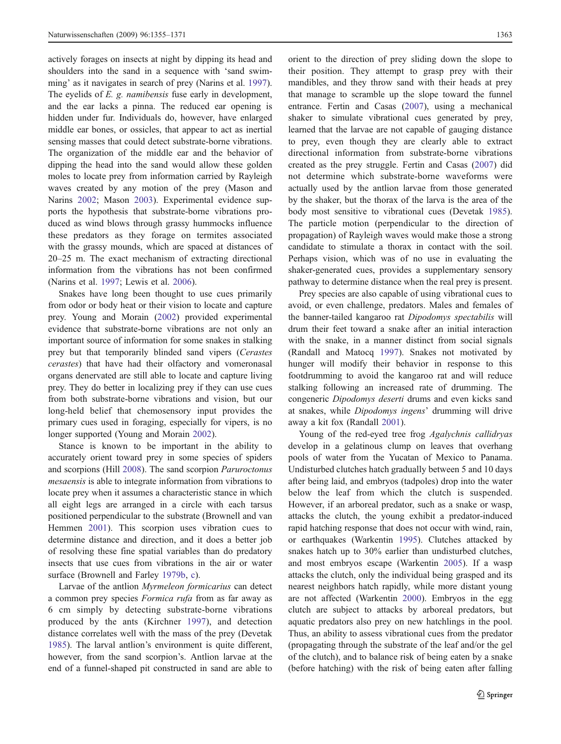actively forages on insects at night by dipping its head and shoulders into the sand in a sequence with 'sand swimming' as it navigates in search of prey (Narins et al. [1997](#page-15-0)). The evelids of E. g. *namibensis* fuse early in development, and the ear lacks a pinna. The reduced ear opening is hidden under fur. Individuals do, however, have enlarged middle ear bones, or ossicles, that appear to act as inertial sensing masses that could detect substrate-borne vibrations. The organization of the middle ear and the behavior of dipping the head into the sand would allow these golden moles to locate prey from information carried by Rayleigh waves created by any motion of the prey (Mason and Narins [2002;](#page-15-0) Mason [2003\)](#page-15-0). Experimental evidence supports the hypothesis that substrate-borne vibrations produced as wind blows through grassy hummocks influence these predators as they forage on termites associated with the grassy mounds, which are spaced at distances of 20–25 m. The exact mechanism of extracting directional information from the vibrations has not been confirmed (Narins et al. [1997;](#page-15-0) Lewis et al. [2006\)](#page-15-0).

Snakes have long been thought to use cues primarily from odor or body heat or their vision to locate and capture prey. Young and Morain [\(2002](#page-16-0)) provided experimental evidence that substrate-borne vibrations are not only an important source of information for some snakes in stalking prey but that temporarily blinded sand vipers (Cerastes cerastes) that have had their olfactory and vomeronasal organs denervated are still able to locate and capture living prey. They do better in localizing prey if they can use cues from both substrate-borne vibrations and vision, but our long-held belief that chemosensory input provides the primary cues used in foraging, especially for vipers, is no longer supported (Young and Morain [2002\)](#page-16-0).

Stance is known to be important in the ability to accurately orient toward prey in some species of spiders and scorpions (Hill [2008](#page-15-0)). The sand scorpion Paruroctonus mesaensis is able to integrate information from vibrations to locate prey when it assumes a characteristic stance in which all eight legs are arranged in a circle with each tarsus positioned perpendicular to the substrate (Brownell and van Hemmen [2001](#page-14-0)). This scorpion uses vibration cues to determine distance and direction, and it does a better job of resolving these fine spatial variables than do predatory insects that use cues from vibrations in the air or water surface (Brownell and Farley [1979b](#page-14-0), [c](#page-14-0)).

Larvae of the antlion Myrmeleon formicarius can detect a common prey species Formica rufa from as far away as 6 cm simply by detecting substrate-borne vibrations produced by the ants (Kirchner [1997\)](#page-15-0), and detection distance correlates well with the mass of the prey (Devetak [1985\)](#page-14-0). The larval antlion's environment is quite different, however, from the sand scorpion's. Antlion larvae at the end of a funnel-shaped pit constructed in sand are able to orient to the direction of prey sliding down the slope to their position. They attempt to grasp prey with their mandibles, and they throw sand with their heads at prey that manage to scramble up the slope toward the funnel entrance. Fertin and Casas ([2007\)](#page-14-0), using a mechanical shaker to simulate vibrational cues generated by prey, learned that the larvae are not capable of gauging distance to prey, even though they are clearly able to extract directional information from substrate-borne vibrations created as the prey struggle. Fertin and Casas [\(2007](#page-14-0)) did not determine which substrate-borne waveforms were actually used by the antlion larvae from those generated by the shaker, but the thorax of the larva is the area of the body most sensitive to vibrational cues (Devetak [1985\)](#page-14-0). The particle motion (perpendicular to the direction of propagation) of Rayleigh waves would make those a strong candidate to stimulate a thorax in contact with the soil. Perhaps vision, which was of no use in evaluating the shaker-generated cues, provides a supplementary sensory pathway to determine distance when the real prey is present.

Prey species are also capable of using vibrational cues to avoid, or even challenge, predators. Males and females of the banner-tailed kangaroo rat Dipodomys spectabilis will drum their feet toward a snake after an initial interaction with the snake, in a manner distinct from social signals (Randall and Matocq [1997](#page-16-0)). Snakes not motivated by hunger will modify their behavior in response to this footdrumming to avoid the kangaroo rat and will reduce stalking following an increased rate of drumming. The congeneric Dipodomys deserti drums and even kicks sand at snakes, while Dipodomys ingens' drumming will drive away a kit fox (Randall [2001](#page-16-0)).

Young of the red-eyed tree frog Agalychnis callidryas develop in a gelatinous clump on leaves that overhang pools of water from the Yucatan of Mexico to Panama. Undisturbed clutches hatch gradually between 5 and 10 days after being laid, and embryos (tadpoles) drop into the water below the leaf from which the clutch is suspended. However, if an arboreal predator, such as a snake or wasp, attacks the clutch, the young exhibit a predator-induced rapid hatching response that does not occur with wind, rain, or earthquakes (Warkentin [1995](#page-16-0)). Clutches attacked by snakes hatch up to 30% earlier than undisturbed clutches, and most embryos escape (Warkentin [2005](#page-16-0)). If a wasp attacks the clutch, only the individual being grasped and its nearest neighbors hatch rapidly, while more distant young are not affected (Warkentin [2000\)](#page-16-0). Embryos in the egg clutch are subject to attacks by arboreal predators, but aquatic predators also prey on new hatchlings in the pool. Thus, an ability to assess vibrational cues from the predator (propagating through the substrate of the leaf and/or the gel of the clutch), and to balance risk of being eaten by a snake (before hatching) with the risk of being eaten after falling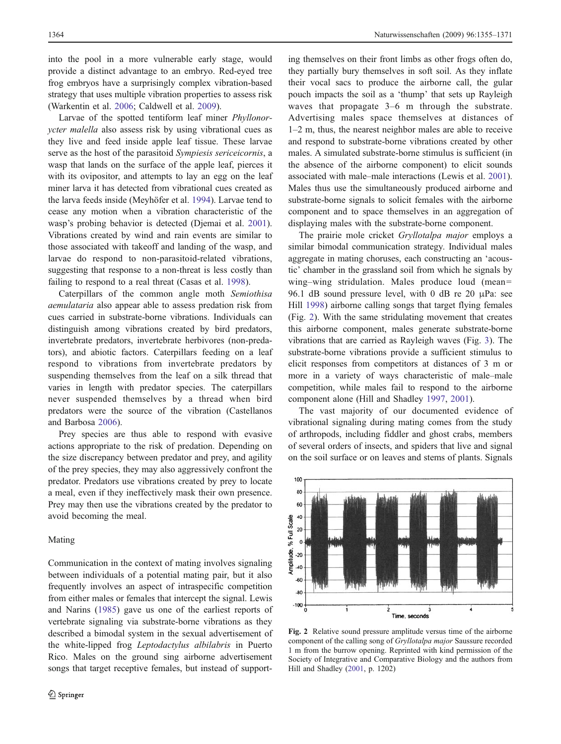into the pool in a more vulnerable early stage, would provide a distinct advantage to an embryo. Red-eyed tree frog embryos have a surprisingly complex vibration-based strategy that uses multiple vibration properties to assess risk (Warkentin et al. [2006;](#page-16-0) Caldwell et al. [2009\)](#page-14-0).

Larvae of the spotted tentiform leaf miner Phyllonorycter malella also assess risk by using vibrational cues as they live and feed inside apple leaf tissue. These larvae serve as the host of the parasitoid Sympiesis sericeicornis, a wasp that lands on the surface of the apple leaf, pierces it with its ovipositor, and attempts to lay an egg on the leaf miner larva it has detected from vibrational cues created as the larva feeds inside (Meyhöfer et al. [1994\)](#page-15-0). Larvae tend to cease any motion when a vibration characteristic of the wasp's probing behavior is detected (Djemai et al. [2001](#page-14-0)). Vibrations created by wind and rain events are similar to those associated with takeoff and landing of the wasp, and larvae do respond to non-parasitoid-related vibrations, suggesting that response to a non-threat is less costly than failing to respond to a real threat (Casas et al. [1998\)](#page-14-0).

Caterpillars of the common angle moth Semiothisa aemulataria also appear able to assess predation risk from cues carried in substrate-borne vibrations. Individuals can distinguish among vibrations created by bird predators, invertebrate predators, invertebrate herbivores (non-predators), and abiotic factors. Caterpillars feeding on a leaf respond to vibrations from invertebrate predators by suspending themselves from the leaf on a silk thread that varies in length with predator species. The caterpillars never suspended themselves by a thread when bird predators were the source of the vibration (Castellanos and Barbosa [2006](#page-14-0)).

Prey species are thus able to respond with evasive actions appropriate to the risk of predation. Depending on the size discrepancy between predator and prey, and agility of the prey species, they may also aggressively confront the predator. Predators use vibrations created by prey to locate a meal, even if they ineffectively mask their own presence. Prey may then use the vibrations created by the predator to avoid becoming the meal.

## Mating

Communication in the context of mating involves signaling between individuals of a potential mating pair, but it also frequently involves an aspect of intraspecific competition from either males or females that intercept the signal. Lewis and Narins ([1985\)](#page-15-0) gave us one of the earliest reports of vertebrate signaling via substrate-borne vibrations as they described a bimodal system in the sexual advertisement of the white-lipped frog Leptodactylus albilabris in Puerto Rico. Males on the ground sing airborne advertisement songs that target receptive females, but instead of supporting themselves on their front limbs as other frogs often do, they partially bury themselves in soft soil. As they inflate their vocal sacs to produce the airborne call, the gular pouch impacts the soil as a 'thump' that sets up Rayleigh waves that propagate 3–6 m through the substrate. Advertising males space themselves at distances of 1–2 m, thus, the nearest neighbor males are able to receive and respond to substrate-borne vibrations created by other males. A simulated substrate-borne stimulus is sufficient (in the absence of the airborne component) to elicit sounds associated with male–male interactions (Lewis et al. [2001\)](#page-15-0). Males thus use the simultaneously produced airborne and substrate-borne signals to solicit females with the airborne component and to space themselves in an aggregation of displaying males with the substrate-borne component.

The prairie mole cricket Gryllotalpa major employs a similar bimodal communication strategy. Individual males aggregate in mating choruses, each constructing an 'acoustic' chamber in the grassland soil from which he signals by wing–wing stridulation. Males produce loud (mean= 96.1 dB sound pressure level, with 0 dB re 20 μPa: see Hill [1998\)](#page-15-0) airborne calling songs that target flying females (Fig. 2). With the same stridulating movement that creates this airborne component, males generate substrate-borne vibrations that are carried as Rayleigh waves (Fig. [3\)](#page-10-0). The substrate-borne vibrations provide a sufficient stimulus to elicit responses from competitors at distances of 3 m or more in a variety of ways characteristic of male–male competition, while males fail to respond to the airborne component alone (Hill and Shadley [1997,](#page-15-0) [2001\)](#page-15-0).

The vast majority of our documented evidence of vibrational signaling during mating comes from the study of arthropods, including fiddler and ghost crabs, members of several orders of insects, and spiders that live and signal on the soil surface or on leaves and stems of plants. Signals



Fig. 2 Relative sound pressure amplitude versus time of the airborne component of the calling song of Gryllotalpa major Saussure recorded 1 m from the burrow opening. Reprinted with kind permission of the Society of Integrative and Comparative Biology and the authors from Hill and Shadley [\(2001](#page-15-0), p. 1202)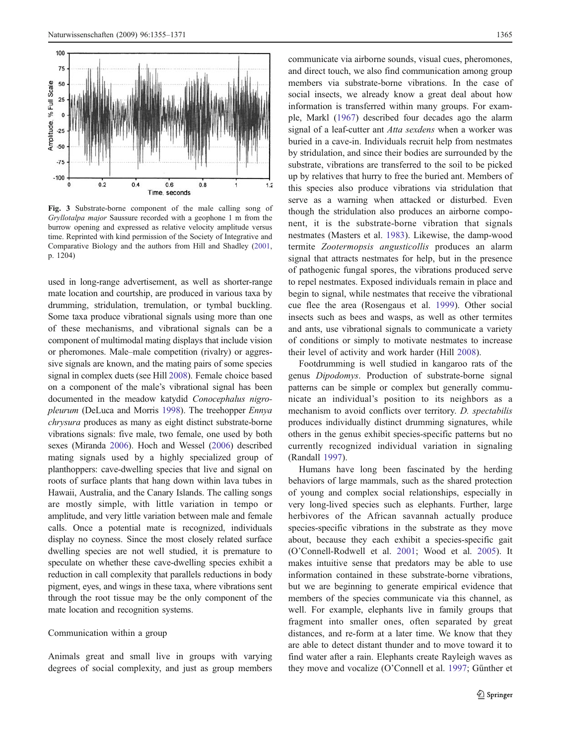<span id="page-10-0"></span>

Fig. 3 Substrate-borne component of the male calling song of Gryllotalpa major Saussure recorded with a geophone 1 m from the burrow opening and expressed as relative velocity amplitude versus time. Reprinted with kind permission of the Society of Integrative and Comparative Biology and the authors from Hill and Shadley [\(2001](#page-15-0), p. 1204)

used in long-range advertisement, as well as shorter-range mate location and courtship, are produced in various taxa by drumming, stridulation, tremulation, or tymbal buckling. Some taxa produce vibrational signals using more than one of these mechanisms, and vibrational signals can be a component of multimodal mating displays that include vision or pheromones. Male–male competition (rivalry) or aggressive signals are known, and the mating pairs of some species signal in complex duets (see Hill [2008](#page-15-0)). Female choice based on a component of the male's vibrational signal has been documented in the meadow katydid Conocephalus nigro-pleurum (DeLuca and Morris [1998\)](#page-14-0). The treehopper Ennya chrysura produces as many as eight distinct substrate-borne vibrations signals: five male, two female, one used by both sexes (Miranda [2006](#page-15-0)). Hoch and Wessel ([2006\)](#page-15-0) described mating signals used by a highly specialized group of planthoppers: cave-dwelling species that live and signal on roots of surface plants that hang down within lava tubes in Hawaii, Australia, and the Canary Islands. The calling songs are mostly simple, with little variation in tempo or amplitude, and very little variation between male and female calls. Once a potential mate is recognized, individuals display no coyness. Since the most closely related surface dwelling species are not well studied, it is premature to speculate on whether these cave-dwelling species exhibit a reduction in call complexity that parallels reductions in body pigment, eyes, and wings in these taxa, where vibrations sent through the root tissue may be the only component of the mate location and recognition systems.

## Communication within a group

Animals great and small live in groups with varying degrees of social complexity, and just as group members

communicate via airborne sounds, visual cues, pheromones, and direct touch, we also find communication among group members via substrate-borne vibrations. In the case of social insects, we already know a great deal about how information is transferred within many groups. For example, Markl ([1967\)](#page-15-0) described four decades ago the alarm signal of a leaf-cutter ant Atta sexdens when a worker was buried in a cave-in. Individuals recruit help from nestmates by stridulation, and since their bodies are surrounded by the substrate, vibrations are transferred to the soil to be picked up by relatives that hurry to free the buried ant. Members of this species also produce vibrations via stridulation that serve as a warning when attacked or disturbed. Even though the stridulation also produces an airborne component, it is the substrate-borne vibration that signals nestmates (Masters et al. [1983\)](#page-15-0). Likewise, the damp-wood termite Zootermopsis angusticollis produces an alarm signal that attracts nestmates for help, but in the presence of pathogenic fungal spores, the vibrations produced serve to repel nestmates. Exposed individuals remain in place and begin to signal, while nestmates that receive the vibrational cue flee the area (Rosengaus et al. [1999\)](#page-16-0). Other social insects such as bees and wasps, as well as other termites and ants, use vibrational signals to communicate a variety of conditions or simply to motivate nestmates to increase their level of activity and work harder (Hill [2008\)](#page-15-0).

Footdrumming is well studied in kangaroo rats of the genus Dipodomys. Production of substrate-borne signal patterns can be simple or complex but generally communicate an individual's position to its neighbors as a mechanism to avoid conflicts over territory. D. spectabilis produces individually distinct drumming signatures, while others in the genus exhibit species-specific patterns but no currently recognized individual variation in signaling (Randall [1997](#page-16-0)).

Humans have long been fascinated by the herding behaviors of large mammals, such as the shared protection of young and complex social relationships, especially in very long-lived species such as elephants. Further, large herbivores of the African savannah actually produce species-specific vibrations in the substrate as they move about, because they each exhibit a species-specific gait (O'Connell-Rodwell et al. [2001](#page-15-0); Wood et al. [2005\)](#page-16-0). It makes intuitive sense that predators may be able to use information contained in these substrate-borne vibrations, but we are beginning to generate empirical evidence that members of the species communicate via this channel, as well. For example, elephants live in family groups that fragment into smaller ones, often separated by great distances, and re-form at a later time. We know that they are able to detect distant thunder and to move toward it to find water after a rain. Elephants create Rayleigh waves as they move and vocalize (O'Connell et al. [1997;](#page-15-0) Gűnther et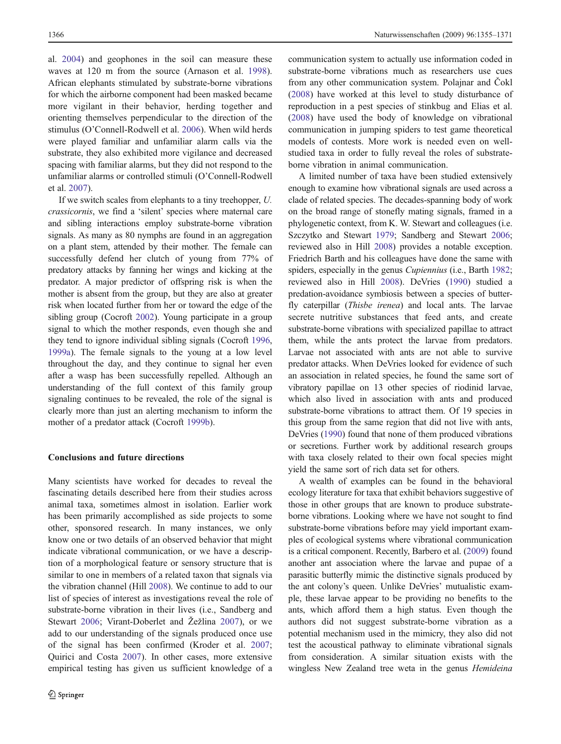al. [2004\)](#page-14-0) and geophones in the soil can measure these waves at 120 m from the source (Arnason et al. [1998](#page-13-0)). African elephants stimulated by substrate-borne vibrations for which the airborne component had been masked became more vigilant in their behavior, herding together and orienting themselves perpendicular to the direction of the stimulus (O'Connell-Rodwell et al. [2006](#page-15-0)). When wild herds were played familiar and unfamiliar alarm calls via the substrate, they also exhibited more vigilance and decreased spacing with familiar alarms, but they did not respond to the unfamiliar alarms or controlled stimuli (O'Connell-Rodwell et al. [2007\)](#page-15-0).

If we switch scales from elephants to a tiny treehopper, U. crassicornis, we find a 'silent' species where maternal care and sibling interactions employ substrate-borne vibration signals. As many as 80 nymphs are found in an aggregation on a plant stem, attended by their mother. The female can successfully defend her clutch of young from 77% of predatory attacks by fanning her wings and kicking at the predator. A major predictor of offspring risk is when the mother is absent from the group, but they are also at greater risk when located further from her or toward the edge of the sibling group (Cocroft [2002\)](#page-14-0). Young participate in a group signal to which the mother responds, even though she and they tend to ignore individual sibling signals (Cocroft [1996,](#page-14-0) [1999a\)](#page-14-0). The female signals to the young at a low level throughout the day, and they continue to signal her even after a wasp has been successfully repelled. Although an understanding of the full context of this family group signaling continues to be revealed, the role of the signal is clearly more than just an alerting mechanism to inform the mother of a predator attack (Cocroft [1999b\)](#page-14-0).

# Conclusions and future directions

Many scientists have worked for decades to reveal the fascinating details described here from their studies across animal taxa, sometimes almost in isolation. Earlier work has been primarily accomplished as side projects to some other, sponsored research. In many instances, we only know one or two details of an observed behavior that might indicate vibrational communication, or we have a description of a morphological feature or sensory structure that is similar to one in members of a related taxon that signals via the vibration channel (Hill [2008](#page-15-0)). We continue to add to our list of species of interest as investigations reveal the role of substrate-borne vibration in their lives (i.e., Sandberg and Stewart [2006;](#page-16-0) Virant-Doberlet and Žežlina [2007](#page-16-0)), or we add to our understanding of the signals produced once use of the signal has been confirmed (Kroder et al. [2007](#page-15-0); Quirici and Costa [2007](#page-16-0)). In other cases, more extensive empirical testing has given us sufficient knowledge of a

communication system to actually use information coded in substrate-borne vibrations much as researchers use cues from any other communication system. Polajnar and Čokl [\(2008](#page-16-0)) have worked at this level to study disturbance of reproduction in a pest species of stinkbug and Elias et al. [\(2008](#page-14-0)) have used the body of knowledge on vibrational communication in jumping spiders to test game theoretical models of contests. More work is needed even on wellstudied taxa in order to fully reveal the roles of substrateborne vibration in animal communication.

A limited number of taxa have been studied extensively enough to examine how vibrational signals are used across a clade of related species. The decades-spanning body of work on the broad range of stonefly mating signals, framed in a phylogenetic context, from K. W. Stewart and colleagues (i.e. Szczytko and Stewart [1979;](#page-16-0) Sandberg and Stewart [2006;](#page-16-0) reviewed also in Hill [2008](#page-15-0)) provides a notable exception. Friedrich Barth and his colleagues have done the same with spiders, especially in the genus *Cupiennius* (i.e., Barth [1982;](#page-13-0) reviewed also in Hill [2008](#page-15-0)). DeVries ([1990](#page-14-0)) studied a predation-avoidance symbiosis between a species of butterfly caterpillar (Thisbe irenea) and local ants. The larvae secrete nutritive substances that feed ants, and create substrate-borne vibrations with specialized papillae to attract them, while the ants protect the larvae from predators. Larvae not associated with ants are not able to survive predator attacks. When DeVries looked for evidence of such an association in related species, he found the same sort of vibratory papillae on 13 other species of riodinid larvae, which also lived in association with ants and produced substrate-borne vibrations to attract them. Of 19 species in this group from the same region that did not live with ants, DeVries ([1990](#page-14-0)) found that none of them produced vibrations or secretions. Further work by additional research groups with taxa closely related to their own focal species might yield the same sort of rich data set for others.

A wealth of examples can be found in the behavioral ecology literature for taxa that exhibit behaviors suggestive of those in other groups that are known to produce substrateborne vibrations. Looking where we have not sought to find substrate-borne vibrations before may yield important examples of ecological systems where vibrational communication is a critical component. Recently, Barbero et al. ([2009](#page-13-0)) found another ant association where the larvae and pupae of a parasitic butterfly mimic the distinctive signals produced by the ant colony's queen. Unlike DeVries' mutualistic example, these larvae appear to be providing no benefits to the ants, which afford them a high status. Even though the authors did not suggest substrate-borne vibration as a potential mechanism used in the mimicry, they also did not test the acoustical pathway to eliminate vibrational signals from consideration. A similar situation exists with the wingless New Zealand tree weta in the genus Hemideina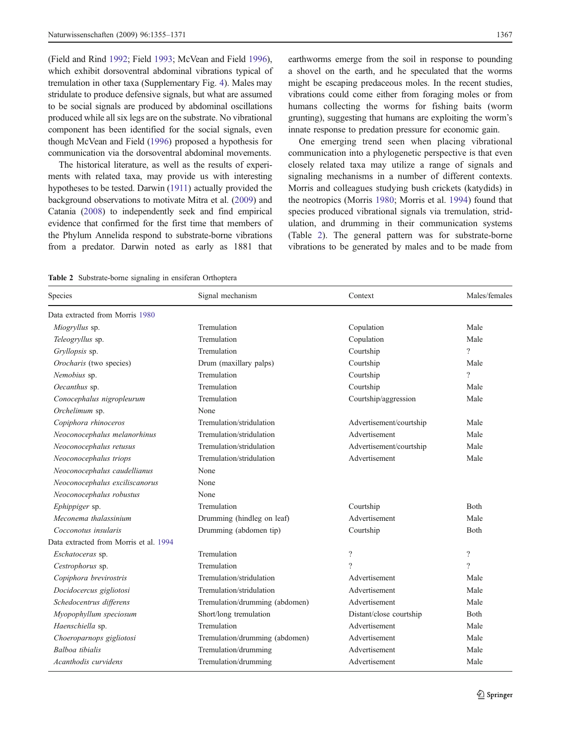(Field and Rind [1992](#page-14-0); Field [1993](#page-14-0); McVean and Field [1996\)](#page-15-0), which exhibit dorsoventral abdominal vibrations typical of tremulation in other taxa (Supplementary Fig. 4). Males may stridulate to produce defensive signals, but what are assumed to be social signals are produced by abdominal oscillations produced while all six legs are on the substrate. No vibrational component has been identified for the social signals, even

communication via the dorsoventral abdominal movements. The historical literature, as well as the results of experiments with related taxa, may provide us with interesting hypotheses to be tested. Darwin ([1911\)](#page-14-0) actually provided the background observations to motivate Mitra et al. [\(2009\)](#page-15-0) and Catania [\(2008\)](#page-14-0) to independently seek and find empirical evidence that confirmed for the first time that members of the Phylum Annelida respond to substrate-borne vibrations from a predator. Darwin noted as early as 1881 that

though McVean and Field [\(1996](#page-15-0)) proposed a hypothesis for

One emerging trend seen when placing vibrational communication into a phylogenetic perspective is that even closely related taxa may utilize a range of signals and signaling mechanisms in a number of different contexts. Morris and colleagues studying bush crickets (katydids) in the neotropics (Morris [1980;](#page-15-0) Morris et al. [1994\)](#page-15-0) found that species produced vibrational signals via tremulation, stridulation, and drumming in their communication systems (Table 2). The general pattern was for substrate-borne vibrations to be generated by males and to be made from

Table 2 Substrate-borne signaling in ensiferan Orthoptera

| Species                                | Signal mechanism               | Context                  | Males/females  |
|----------------------------------------|--------------------------------|--------------------------|----------------|
| Data extracted from Morris 1980        |                                |                          |                |
| Miogryllus sp.                         | Tremulation                    | Copulation               | Male           |
| Teleogryllus sp.                       | Tremulation                    | Copulation               | Male           |
| Gryllopsis sp.                         | Tremulation                    | Courtship                | $\overline{?}$ |
| Orocharis (two species)                | Drum (maxillary palps)         | Courtship                | Male           |
| Nemobius sp.                           | Tremulation                    | Courtship                | $\gamma$       |
| Oecanthus sp.                          | Tremulation                    | Courtship                | Male           |
| Conocephalus nigropleurum              | Tremulation                    | Courtship/aggression     | Male           |
| Orchelimum sp.                         | None                           |                          |                |
| Copiphora rhinoceros                   | Tremulation/stridulation       | Advertisement/courtship  | Male           |
| Neoconocephalus melanorhinus           | Tremulation/stridulation       | Advertisement            | Male           |
| Neoconocephalus retusus                | Tremulation/stridulation       | Advertisement/courtship  | Male           |
| Neoconocephalus triops                 | Tremulation/stridulation       | Advertisement            | Male           |
| Neoconocephalus caudellianus           | None                           |                          |                |
| Neoconocephalus exciliscanorus         | None                           |                          |                |
| Neoconocephalus robustus               | None                           |                          |                |
| Ephippiger sp.                         | Tremulation                    | Courtship                | <b>B</b> oth   |
| Meconema thalassinium                  | Drumming (hindleg on leaf)     | Advertisement            | Male           |
| Cocconotus insularis                   | Drumming (abdomen tip)         | Courtship                | <b>B</b> oth   |
| Data extracted from Morris et al. 1994 |                                |                          |                |
| Eschatoceras sp.                       | Tremulation                    | $\overline{\mathcal{L}}$ | $\overline{?}$ |
| Cestrophorus sp.                       | Tremulation                    | $\gamma$                 | $\gamma$       |
| Copiphora brevirostris                 | Tremulation/stridulation       | Advertisement            | Male           |
| Docidocercus gigliotosi                | Tremulation/stridulation       | Advertisement            | Male           |
| Schedocentrus differens                | Tremulation/drumming (abdomen) | Advertisement            | Male           |
| Myopophyllum speciosum                 | Short/long tremulation         | Distant/close courtship  | <b>B</b> oth   |
| Haenschiella sp.                       | Tremulation                    | Advertisement            | Male           |
| Choeroparnops gigliotosi               | Tremulation/drumming (abdomen) | Advertisement            | Male           |
| Balboa tibialis                        | Tremulation/drumming           | Advertisement            | Male           |
| Acanthodis curvidens                   | Tremulation/drumming           | Advertisement            | Male           |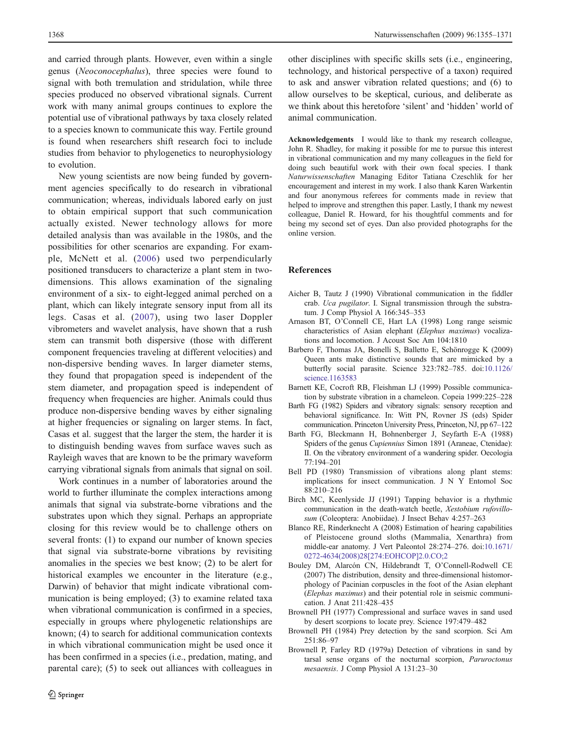<span id="page-13-0"></span>and carried through plants. However, even within a single genus (Neoconocephalus), three species were found to signal with both tremulation and stridulation, while three species produced no observed vibrational signals. Current work with many animal groups continues to explore the potential use of vibrational pathways by taxa closely related to a species known to communicate this way. Fertile ground is found when researchers shift research foci to include studies from behavior to phylogenetics to neurophysiology to evolution.

New young scientists are now being funded by government agencies specifically to do research in vibrational communication; whereas, individuals labored early on just to obtain empirical support that such communication actually existed. Newer technology allows for more detailed analysis than was available in the 1980s, and the possibilities for other scenarios are expanding. For example, McNett et al. [\(2006](#page-15-0)) used two perpendicularly positioned transducers to characterize a plant stem in twodimensions. This allows examination of the signaling environment of a six- to eight-legged animal perched on a plant, which can likely integrate sensory input from all its legs. Casas et al. ([2007](#page-14-0)), using two laser Doppler vibrometers and wavelet analysis, have shown that a rush stem can transmit both dispersive (those with different component frequencies traveling at different velocities) and non-dispersive bending waves. In larger diameter stems, they found that propagation speed is independent of the stem diameter, and propagation speed is independent of frequency when frequencies are higher. Animals could thus produce non-dispersive bending waves by either signaling at higher frequencies or signaling on larger stems. In fact, Casas et al. suggest that the larger the stem, the harder it is to distinguish bending waves from surface waves such as Rayleigh waves that are known to be the primary waveform carrying vibrational signals from animals that signal on soil.

Work continues in a number of laboratories around the world to further illuminate the complex interactions among animals that signal via substrate-borne vibrations and the substrates upon which they signal. Perhaps an appropriate closing for this review would be to challenge others on several fronts: (1) to expand our number of known species that signal via substrate-borne vibrations by revisiting anomalies in the species we best know; (2) to be alert for historical examples we encounter in the literature (e.g., Darwin) of behavior that might indicate vibrational communication is being employed; (3) to examine related taxa when vibrational communication is confirmed in a species, especially in groups where phylogenetic relationships are known; (4) to search for additional communication contexts in which vibrational communication might be used once it has been confirmed in a species (i.e., predation, mating, and parental care); (5) to seek out alliances with colleagues in

other disciplines with specific skills sets (i.e., engineering, technology, and historical perspective of a taxon) required to ask and answer vibration related questions; and (6) to allow ourselves to be skeptical, curious, and deliberate as we think about this heretofore 'silent' and 'hidden' world of animal communication.

Acknowledgements I would like to thank my research colleague, John R. Shadley, for making it possible for me to pursue this interest in vibrational communication and my many colleagues in the field for doing such beautiful work with their own focal species. I thank Naturwissenschaften Managing Editor Tatiana Czeschlik for her encouragement and interest in my work. I also thank Karen Warkentin and four anonymous referees for comments made in review that helped to improve and strengthen this paper. Lastly, I thank my newest colleague, Daniel R. Howard, for his thoughtful comments and for being my second set of eyes. Dan also provided photographs for the online version.

## References

- Aicher B, Tautz J (1990) Vibrational communication in the fiddler crab. Uca pugilator. I. Signal transmission through the substratum. J Comp Physiol A 166:345–353
- Arnason BT, O'Connell CE, Hart LA (1998) Long range seismic characteristics of Asian elephant (Elephus maximus) vocalizations and locomotion. J Acoust Soc Am 104:1810
- Barbero F, Thomas JA, Bonelli S, Balletto E, Schönrogge K (2009) Queen ants make distinctive sounds that are mimicked by a butterfly social parasite. Science 323:782–785. doi[:10.1126/](http://dx.doi.org/10.1126/science.1163583) [science.1163583](http://dx.doi.org/10.1126/science.1163583)
- Barnett KE, Cocroft RB, Fleishman LJ (1999) Possible communication by substrate vibration in a chameleon. Copeia 1999:225–228
- Barth FG (1982) Spiders and vibratory signals: sensory reception and behavioral significance. In: Witt PN, Rovner JS (eds) Spider communication. Princeton University Press, Princeton, NJ, pp 67–122
- Barth FG, Bleckmann H, Bohnenberger J, Seyfarth E-A (1988) Spiders of the genus Cupiennius Simon 1891 (Araneae, Ctenidae): II. On the vibratory environment of a wandering spider. Oecologia 77:194–201
- Bell PD (1980) Transmission of vibrations along plant stems: implications for insect communication. J N Y Entomol Soc 88:210–216
- Birch MC, Keenlyside JJ (1991) Tapping behavior is a rhythmic communication in the death-watch beetle, Xestobium rufovillosum (Coleoptera: Anobiidae). J Insect Behav 4:257–263
- Blanco RE, Rinderknecht A (2008) Estimation of hearing capabilities of Pleistocene ground sloths (Mammalia, Xenarthra) from middle-ear anatomy. J Vert Paleontol 28:274–276. doi[:10.1671/](dx.doi.org/10.1671/0272-4634(2008)28[274:EOHCOP]2.0.CO;2) [0272-4634\(2008\)28\[274:EOHCOP\]2.0.CO;2](dx.doi.org/10.1671/0272-4634(2008)28[274:EOHCOP]2.0.CO;2)
- Bouley DM, Alarcón CN, Hildebrandt T, O'Connell-Rodwell CE (2007) The distribution, density and three-dimensional histomorphology of Pacinian corpuscles in the foot of the Asian elephant (Elephas maximus) and their potential role in seismic communication. J Anat 211:428–435
- Brownell PH (1977) Compressional and surface waves in sand used by desert scorpions to locate prey. Science 197:479–482
- Brownell PH (1984) Prey detection by the sand scorpion. Sci Am 251:86–97
- Brownell P, Farley RD (1979a) Detection of vibrations in sand by tarsal sense organs of the nocturnal scorpion, Paruroctonus mesaensis. J Comp Physiol A 131:23–30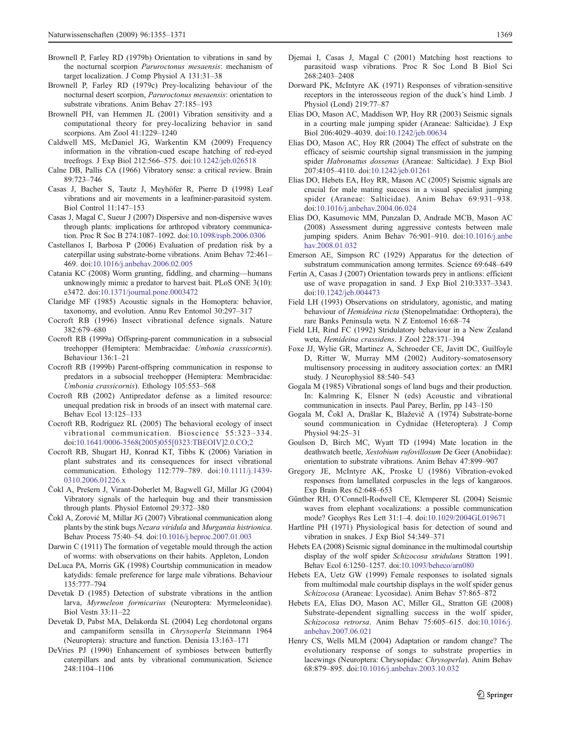- <span id="page-14-0"></span>Brownell P, Farley RD (1979b) Orientation to vibrations in sand by the nocturnal scorpion Paruroctonus mesaensis: mechanism of target localization. J Comp Physiol A 131:31–38
- Brownell P, Farley RD (1979c) Prey-localizing behaviour of the nocturnal desert scorpion, Paruroctonus mesaensis: orientation to substrate vibrations. Anim Behav 27:185–193
- Brownell PH, van Hemmen JL (2001) Vibration sensitivity and a computational theory for prey-localizing behavior in sand scorpions. Am Zool 41:1229–1240
- Caldwell MS, McDaniel JG, Warkentin KM (2009) Frequency information in the vibration-cued escape hatching of red-eyed treefrogs. J Exp Biol 212:566–575. doi:[10.1242/jeb.026518](http://dx.doi.org/10.1242/jeb.026518)
- Calne DB, Pallis CA (1966) Vibratory sense: a critical review. Brain 89:723–746
- Casas J, Bacher S, Tautz J, Meyhöfer R, Pierre D (1998) Leaf vibrations and air movements in a leafminer-parasitoid system. Biol Control 11:147–153
- Casas J, Magal C, Sueur J (2007) Dispersive and non-dispersive waves through plants: implications for arthropod vibratory communication. Proc R Soc B 274:1087–1092. doi:[10.1098/rspb.2006.0306](http://dx.doi.org/10.1098/rspb.2006.0306)
- Castellanos I, Barbosa P (2006) Evaluation of predation risk by a caterpillar using substrate-borne vibrations. Anim Behav 72:461– 469. doi:[10.1016/j.anbehav.2006.02.005](http://dx.doi.org/10.1016/j.anbehav.2006.02.005)
- Catania KC (2008) Worm grunting, fiddling, and charming—humans unknowingly mimic a predator to harvest bait. PLoS ONE 3(10): e3472. doi:[10.1371/journal.pone.0003472](http://dx.doi.org/10.1371/journal.pone.0003472)
- Claridge MF (1985) Acoustic signals in the Homoptera: behavior, taxonomy, and evolution. Annu Rev Entomol 30:297–317
- Cocroft RB (1996) Insect vibrational defence signals. Nature 382:679–680
- Cocroft RB (1999a) Offspring-parent communication in a subsocial treehopper (Hemiptera: Membracidae: Umbonia crassicornis). Behaviour 136:1–21
- Cocroft RB (1999b) Parent-offspring communication in response to predators in a subsocial treehopper (Hemiptera: Membracidae: Umbonia crassicornis). Ethology 105:553–568
- Cocroft RB (2002) Antipredator defense as a limited resource: unequal predation risk in broods of an insect with maternal care. Behav Ecol 13:125–133
- Cocroft RB, Rodríguez RL (2005) The behavioral ecology of insect vibrational communication. Bioscience 55:323–334. doi[:10.1641/0006-3568\(2005\)055\[0323:TBEOIV\]2.0.CO;2](dx.doi.org/10.1641/0006-3568(2005)055[0323:TBEOIV]2.0.CO;2)
- Cocroft RB, Shugart HJ, Konrad KT, Tibbs K (2006) Variation in plant substrates and its consequences for insect vibrational communication. Ethology 112:779–789. doi[:10.1111/j.1439-](http://dx.doi.org/10.1111/j.1439-0310.2006.01226.x) [0310.2006.01226.x](http://dx.doi.org/10.1111/j.1439-0310.2006.01226.x)
- Čokl A, Prešern J, Virant-Doberlet M, Bagwell GJ, Millar JG (2004) Vibratory signals of the harlequin bug and their transmission through plants. Physiol Entomol 29:372–380
- Čokl A, Zorović M, Millar JG (2007) Vibrational communication along plants by the stink bugs Nezara viridula and Murgantia histrionica. Behav Process 75:40–54. doi[:10.1016/j.beproc.2007.01.003](http://dx.doi.org/10.1016/j.beproc.2007.01.003)
- Darwin C (1911) The formation of vegetable mould through the action of worms: with observations on their habits. Appleton, London
- DeLuca PA, Morris GK (1998) Courtship communication in meadow katydids: female preference for large male vibrations. Behaviour 135:777–794
- Devetak D (1985) Detection of substrate vibrations in the antlion larva, Myrmeleon formicarius (Neuroptera: Myrmeleonidae). Biol Vestn 33:11–22
- Devetak D, Pabst MA, Delakorda SL (2004) Leg chordotonal organs and campaniform sensilla in Chrysoperla Steinmann 1964 (Neuroptera): structure and function. Denisia 13:163–171
- DeVries PJ (1990) Enhancement of symbioses between butterfly caterpillars and ants by vibrational communication. Science 248:1104–1106
- Djemai I, Casas J, Magal C (2001) Matching host reactions to parasitoid wasp vibrations. Proc R Soc Lond B Biol Sci 268:2403–2408
- Dorward PK, McIntyre AK (1971) Responses of vibration-sensitive receptors in the interosseous region of the duck's hind Limb. J Physiol (Lond) 219:77–87
- Elias DO, Mason AC, Maddison WP, Hoy RR (2003) Seismic signals in a courting male jumping spider (Araneae: Salticidae). J Exp Biol 206:4029–4039. doi[:10.1242/jeb.00634](http://dx.doi.org/10.1242/jeb.00634)
- Elias DO, Mason AC, Hoy RR (2004) The effect of substrate on the efficacy of seismic courtship signal transmission in the jumping spider Habronattus dossenus (Araneae: Salticidae). J Exp Biol 207:4105–4110. doi:[10.1242/jeb.01261](http://dx.doi.org/10.1242/jeb.01261)
- Elias DO, Hebets EA, Hoy RR, Mason AC (2005) Seismic signals are crucial for male mating success in a visual specialist jumping spider (Araneae: Salticidae). Anim Behav 69:931–938. doi[:10.1016/j.anbehav.2004.06.024](http://dx.doi.org/10.1016/j.anbehav.2004.06.024)
- Elias DO, Kasumovic MM, Punzalan D, Andrade MCB, Mason AC (2008) Assessment during aggressive contests between male jumping spiders. Anim Behav 76:901–910. doi[:10.1016/j.anbe](http://dx.doi.org/10.1016/j.anbehav.2008.01.032) [hav.2008.01.032](http://dx.doi.org/10.1016/j.anbehav.2008.01.032)
- Emerson AE, Simpson RC (1929) Apparatus for the detection of substratum communication among termites. Science 69:648–649
- Fertin A, Casas J (2007) Orientation towards prey in antlions: efficient use of wave propagation in sand. J Exp Biol 210:3337–3343. doi[:10.1242/jeb.004473](http://dx.doi.org/10.1242/jeb.004473)
- Field LH (1993) Observations on stridulatory, agonistic, and mating behaviour of Hemideina ricta (Stenopelmatidae: Orthoptera), the rare Banks Peninsula weta. N Z Entomol 16:68–74
- Field LH, Rind FC (1992) Stridulatory behaviour in a New Zealand weta, Hemideina crassidens. J Zool 228:371–394
- Foxe JJ, Wylie GR, Martinez A, Schroeder CE, Javitt DC, Guilfoyle D, Ritter W, Murray MM (2002) Auditory-somatosensory multisensory processing in auditory association cortex: an fMRI study. J Neurophysiol 88:540–543
- Gogala M (1985) Vibrational songs of land bugs and their production. In: Kalmring K, Elsner N (eds) Acoustic and vibrational communication in insects. Paul Parey, Berlin, pp 143–150
- Gogala M, Čokl A, Drašlar K, Blaževič A (1974) Substrate-borne sound communication in Cydnidae (Heteroptera). J Comp Physiol 94:25–31
- Goulson D, Birch MC, Wyatt TD (1994) Mate location in the deathwatch beetle, Xestobium rufovillosum De Geer (Anobiidae): orientation to substrate vibrations. Anim Behav 47:899–907
- Gregory JE, McIntyre AK, Proske U (1986) Vibration-evoked responses from lamellated corpuscles in the legs of kangaroos. Exp Brain Res 62:648–653
- Gűnther RH, O'Connell-Rodwell CE, Klemperer SL (2004) Seismic waves from elephant vocalizations: a possible communication mode? Geophys Res Lett 31:1–4. doi[:10.1029/2004GL019671](http://dx.doi.org/10.1029/2004GL019671)
- Hartline PH (1971) Physiological basis for detection of sound and vibration in snakes. J Exp Biol 54:349–371
- Hebets EA (2008) Seismic signal dominance in the multimodal courtship display of the wolf spider Schizocosa stridulans Stratton 1991. Behav Ecol 6:1250–1257. doi[:10.1093/beheco/arn080](http://dx.doi.org/10.1093/beheco/arn080)
- Hebets EA, Uetz GW (1999) Female responses to isolated signals from multimodal male courtship displays in the wolf spider genus Schizocosa (Araneae: Lycosidae). Anim Behav 57:865–872
- Hebets EA, Elias DO, Mason AC, Miller GL, Stratton GE (2008) Substrate-dependent signalling success in the wolf spider, Schizocosa retrorsa. Anim Behav 75:605–615. doi[:10.1016/j.](http://dx.doi.org/10.1016/j.anbehav.2007.06.021) [anbehav.2007.06.021](http://dx.doi.org/10.1016/j.anbehav.2007.06.021)
- Henry CS, Wells MLM (2004) Adaptation or random change? The evolutionary response of songs to substrate properties in lacewings (Neuroptera: Chrysopidae: Chrysoperla). Anim Behav 68:879–895. doi[:10.1016/j.anbehav.2003.10.032](http://dx.doi.org/10.1016/j.anbehav.2003.10.032)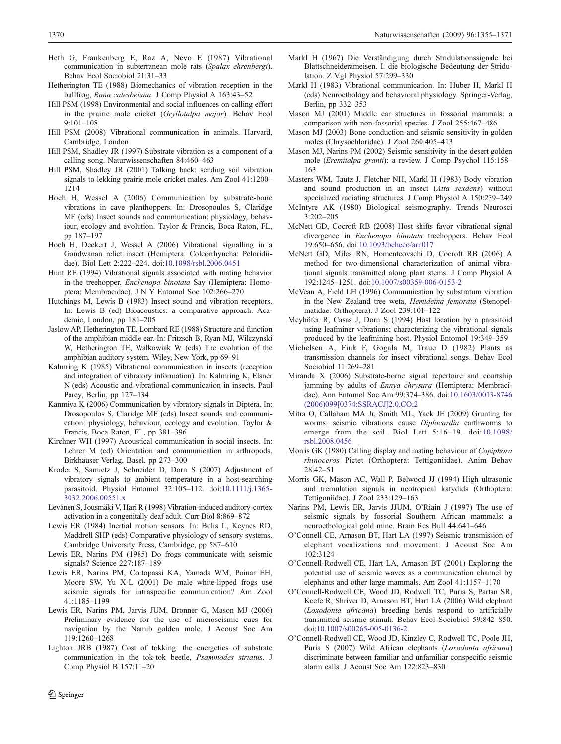- <span id="page-15-0"></span>Heth G, Frankenberg E, Raz A, Nevo E (1987) Vibrational communication in subterranean mole rats (Spalax ehrenbergi). Behav Ecol Sociobiol 21:31–33
- Hetherington TE (1988) Biomechanics of vibration reception in the bullfrog, Rana catesbeiana. J Comp Physiol A 163:43–52
- Hill PSM (1998) Environmental and social influences on calling effort in the prairie mole cricket (Gryllotalpa major). Behav Ecol 9:101–108
- Hill PSM (2008) Vibrational communication in animals. Harvard, Cambridge, London
- Hill PSM, Shadley JR (1997) Substrate vibration as a component of a calling song. Naturwissenschaften 84:460–463
- Hill PSM, Shadley JR (2001) Talking back: sending soil vibration signals to lekking prairie mole cricket males. Am Zool 41:1200– 1214
- Hoch H, Wessel A (2006) Communication by substrate-bone vibrations in cave planthoppers. In: Drosopoulos S, Claridge MF (eds) Insect sounds and communication: physiology, behaviour, ecology and evolution. Taylor & Francis, Boca Raton, FL, pp 187–197
- Hoch H, Deckert J, Wessel A (2006) Vibrational signalling in a Gondwanan relict insect (Hemiptera: Coleorrhyncha: Peloridiidae). Biol Lett 2:222–224. doi:[10.1098/rsbl.2006.0451](http://dx.doi.org/10.1098/rsbl.2006.0451)
- Hunt RE (1994) Vibrational signals associated with mating behavior in the treehopper, Enchenopa binotata Say (Hemiptera: Homoptera: Membracidae). J N Y Entomol Soc 102:266–270
- Hutchings M, Lewis B (1983) Insect sound and vibration receptors. In: Lewis B (ed) Bioacoustics: a comparative approach. Academic, London, pp 181–205
- Jaslow AP, Hetherington TE, Lombard RE (1988) Structure and function of the amphibian middle ear. In: Fritzsch B, Ryan MJ, Wilczynski W, Hetherington TE, Walkowiak W (eds) The evolution of the amphibian auditory system. Wiley, New York, pp 69–91
- Kalmring K (1985) Vibrational communication in insects (reception and integration of vibratory information). In: Kalmring K, Elsner N (eds) Acoustic and vibrational communication in insects. Paul Parey, Berlin, pp 127–134
- Kanmiya K (2006) Communication by vibratory signals in Diptera. In: Drosopoulos S, Claridge MF (eds) Insect sounds and communication: physiology, behaviour, ecology and evolution. Taylor & Francis, Boca Raton, FL, pp 381–396
- Kirchner WH (1997) Acoustical communication in social insects. In: Lehrer M (ed) Orientation and communication in arthropods. Birkhäuser Verlag, Basel, pp 273–300
- Kroder S, Samietz J, Schneider D, Dorn S (2007) Adjustment of vibratory signals to ambient temperature in a host-searching parasitoid. Physiol Entomol 32:105–112. doi:[10.1111/j.1365-](http://dx.doi.org/10.1111/j.1365-3032.2006.00551.x) [3032.2006.00551.x](http://dx.doi.org/10.1111/j.1365-3032.2006.00551.x)
- Levänen S, Jousmäki V, Hari R (1998) Vibration-induced auditory-cortex activation in a congenitally deaf adult. Curr Biol 8:869–872
- Lewis ER (1984) Inertial motion sensors. In: Bolis L, Keynes RD, Maddrell SHP (eds) Comparative physiology of sensory systems. Cambridge University Press, Cambridge, pp 587–610
- Lewis ER, Narins PM (1985) Do frogs communicate with seismic signals? Science 227:187–189
- Lewis ER, Narins PM, Cortopassi KA, Yamada WM, Poinar EH, Moore SW, Yu X-L (2001) Do male white-lipped frogs use seismic signals for intraspecific communication? Am Zool 41:1185–1199
- Lewis ER, Narins PM, Jarvis JUM, Bronner G, Mason MJ (2006) Preliminary evidence for the use of microseismic cues for navigation by the Namib golden mole. J Acoust Soc Am 119:1260–1268
- Lighton JRB (1987) Cost of tokking: the energetics of substrate communication in the tok-tok beetle, Psammodes striatus. J Comp Physiol B 157:11–20
- Markl H (1967) Die Verständigung durch Stridulationssignale bei Blattschneiderameisen. I. die biologische Bedeutung der Stridulation. Z Vgl Physiol 57:299–330
- Markl H (1983) Vibrational communication. In: Huber H, Markl H (eds) Neuroethology and behavioral physiology. Springer-Verlag, Berlin, pp 332–353
- Mason MJ (2001) Middle ear structures in fossorial mammals: a comparison with non-fossorial species. J Zool 255:467–486
- Mason MJ (2003) Bone conduction and seismic sensitivity in golden moles (Chrysochloridae). J Zool 260:405–413
- Mason MJ, Narins PM (2002) Seismic sensitivity in the desert golden mole (Eremitalpa granti): a review. J Comp Psychol 116:158– 163
- Masters WM, Tautz J, Fletcher NH, Markl H (1983) Body vibration and sound production in an insect (Atta sexdens) without specialized radiating structures. J Comp Physiol A 150:239–249
- McIntyre AK (1980) Biological seismography. Trends Neurosci 3:202–205
- McNett GD, Cocroft RB (2008) Host shifts favor vibrational signal divergence in Enchenopa binotata treehoppers. Behav Ecol 19:650–656. doi[:10.1093/beheco/arn017](http://dx.doi.org/10.1093/beheco/arn017)
- McNett GD, Miles RN, Homentcovschi D, Cocroft RB (2006) A method for two-dimensional characterization of animal vibrational signals transmitted along plant stems. J Comp Physiol A 192:1245–1251. doi[:10.1007/s00359-006-0153-2](http://dx.doi.org/10.1007/s00359-006-0153-2)
- McVean A, Field LH (1996) Communication by substratum vibration in the New Zealand tree weta, Hemideina femorata (Stenopelmatidae: Orthoptera). J Zool 239:101–122
- Meyhöfer R, Casas J, Dorn S (1994) Host location by a parasitoid using leafminer vibrations: characterizing the vibrational signals produced by the leafmining host. Physiol Entomol 19:349–359
- Michelsen A, Fink F, Gogala M, Traue D (1982) Plants as transmission channels for insect vibrational songs. Behav Ecol Sociobiol 11:269–281
- Miranda X (2006) Substrate-borne signal repertoire and courtship jamming by adults of Ennya chrysura (Hemiptera: Membracidae). Ann Entomol Soc Am 99:374–386. doi:[10.1603/0013-8746](dx.doi.org/10.1603/0013-8746(2006)099[0374:SSRACJ]2.0.CO;2) [\(2006\)099\[0374:SSRACJ\]2.0.CO;2](dx.doi.org/10.1603/0013-8746(2006)099[0374:SSRACJ]2.0.CO;2)
- Mitra O, Callaham MA Jr, Smith ML, Yack JE (2009) Grunting for worms: seismic vibrations cause Diplocardia earthworms to emerge from the soil. Biol Lett 5:16–19. doi:[10.1098/](http://dx.doi.org/10.1098/rsbl.2008.0456) [rsbl.2008.0456](http://dx.doi.org/10.1098/rsbl.2008.0456)
- Morris GK (1980) Calling display and mating behaviour of Copiphora rhinoceros Pictet (Orthoptera: Tettigoniidae). Anim Behav 28:42–51
- Morris GK, Mason AC, Wall P, Belwood JJ (1994) High ultrasonic and tremulation signals in neotropical katydids (Orthoptera: Tettigoniidae). J Zool 233:129–163
- Narins PM, Lewis ER, Jarvis JJUM, O'Riain J (1997) The use of seismic signals by fossorial Southern African mammals: a neuroethological gold mine. Brain Res Bull 44:641–646
- O'Connell CE, Arnason BT, Hart LA (1997) Seismic transmission of elephant vocalizations and movement. J Acoust Soc Am 102:3124
- O'Connell-Rodwell CE, Hart LA, Arnason BT (2001) Exploring the potential use of seismic waves as a communication channel by elephants and other large mammals. Am Zool 41:1157–1170
- O'Connell-Rodwell CE, Wood JD, Rodwell TC, Puria S, Partan SR, Keefe R, Shriver D, Arnason BT, Hart LA (2006) Wild elephant (Loxodonta africana) breeding herds respond to artificially transmitted seismic stimuli. Behav Ecol Sociobiol 59:842–850. doi[:10.1007/s00265-005-0136-2](http://dx.doi.org/10.1007/s00265-005-0136-2)
- O'Connell-Rodwell CE, Wood JD, Kinzley C, Rodwell TC, Poole JH, Puria S (2007) Wild African elephants (Loxodonta africana) discriminate between familiar and unfamiliar conspecific seismic alarm calls. J Acoust Soc Am 122:823–830